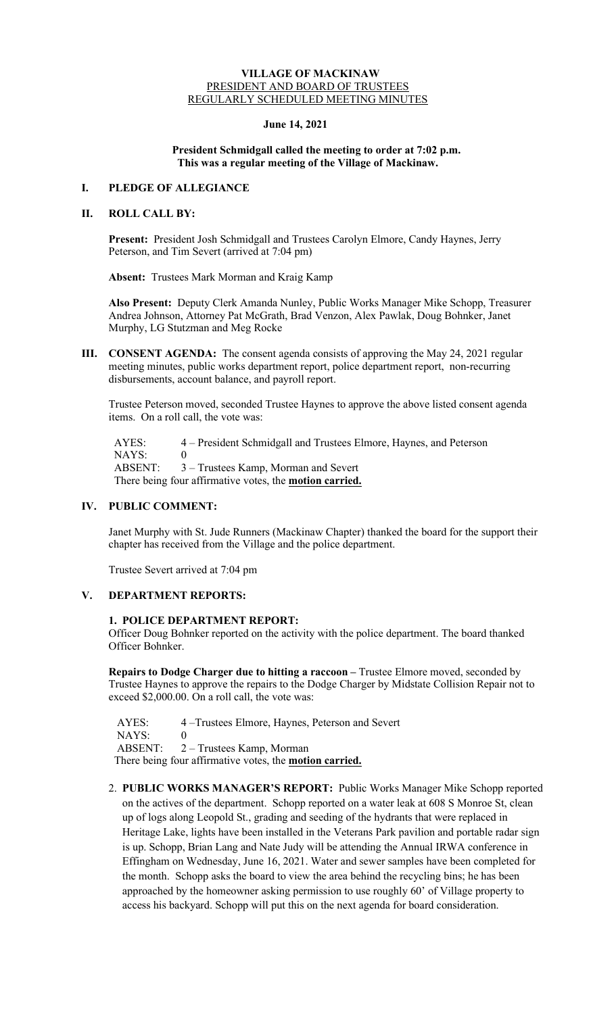#### **VILLAGE OF MACKINAW** PRESIDENT AND BOARD OF TRUSTEES REGULARLY SCHEDULED MEETING MINUTES

#### **June 14, 2021**

#### **President Schmidgall called the meeting to order at 7:02 p.m. This was a regular meeting of the Village of Mackinaw.**

### **I. PLEDGE OF ALLEGIANCE**

### **II. ROLL CALL BY:**

**Present:** President Josh Schmidgall and Trustees Carolyn Elmore, Candy Haynes, Jerry Peterson, and Tim Severt (arrived at 7:04 pm)

**Absent:** Trustees Mark Morman and Kraig Kamp

**Also Present:** Deputy Clerk Amanda Nunley, Public Works Manager Mike Schopp, Treasurer Andrea Johnson, Attorney Pat McGrath, Brad Venzon, Alex Pawlak, Doug Bohnker, Janet Murphy, LG Stutzman and Meg Rocke

**III. CONSENT AGENDA:** The consent agenda consists of approving the May 24, 2021 regular meeting minutes, public works department report, police department report, non-recurring disbursements, account balance, and payroll report.

Trustee Peterson moved, seconded Trustee Haynes to approve the above listed consent agenda items. On a roll call, the vote was:

 AYES: 4 – President Schmidgall and Trustees Elmore, Haynes, and Peterson NAYS: 0 ABSENT: 3 – Trustees Kamp, Morman and Severt There being four affirmative votes, the **motion carried.**

#### **IV. PUBLIC COMMENT:**

Janet Murphy with St. Jude Runners (Mackinaw Chapter) thanked the board for the support their chapter has received from the Village and the police department.

Trustee Severt arrived at 7:04 pm

## **V. DEPARTMENT REPORTS:**

#### **1. POLICE DEPARTMENT REPORT:**

Officer Doug Bohnker reported on the activity with the police department. The board thanked Officer Bohnker.

**Repairs to Dodge Charger due to hitting a raccoon –** Trustee Elmore moved, seconded by Trustee Haynes to approve the repairs to the Dodge Charger by Midstate Collision Repair not to exceed \$2,000.00. On a roll call, the vote was:

 AYES: 4 –Trustees Elmore, Haynes, Peterson and Severt  $NAYS: 0$ ABSENT: 2 – Trustees Kamp, Morman

There being four affirmative votes, the **motion carried.**

2. **PUBLIC WORKS MANAGER'S REPORT:** Public Works Manager Mike Schopp reported on the actives of the department. Schopp reported on a water leak at 608 S Monroe St, clean up of logs along Leopold St., grading and seeding of the hydrants that were replaced in Heritage Lake, lights have been installed in the Veterans Park pavilion and portable radar sign is up. Schopp, Brian Lang and Nate Judy will be attending the Annual IRWA conference in Effingham on Wednesday, June 16, 2021. Water and sewer samples have been completed for the month. Schopp asks the board to view the area behind the recycling bins; he has been approached by the homeowner asking permission to use roughly 60' of Village property to access his backyard. Schopp will put this on the next agenda for board consideration.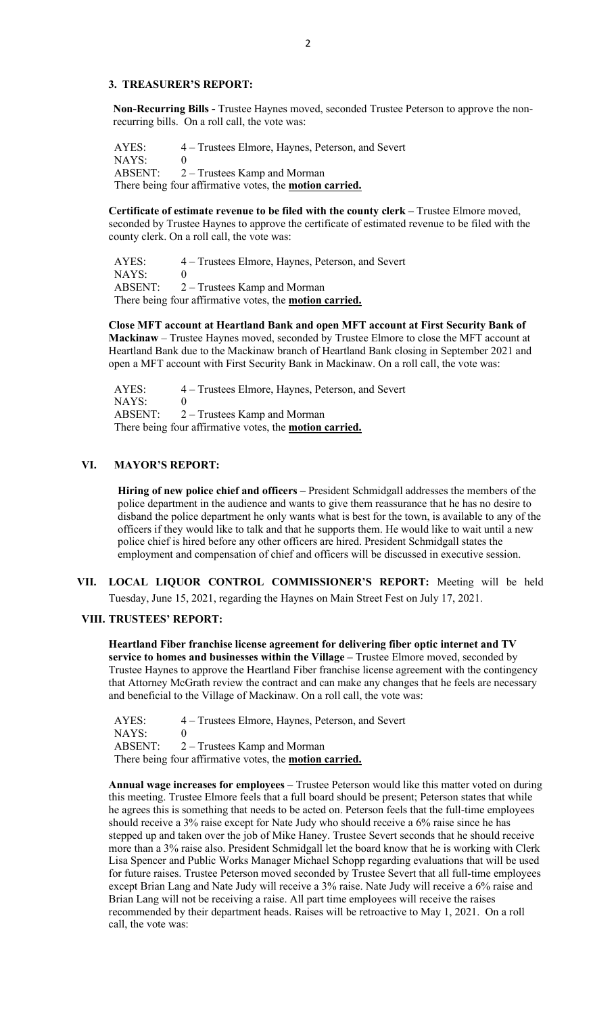### **3. TREASURER'S REPORT:**

**Non-Recurring Bills -** Trustee Haynes moved, seconded Trustee Peterson to approve the nonrecurring bills. On a roll call, the vote was:

 AYES: 4 – Trustees Elmore, Haynes, Peterson, and Severt NAYS: 0 ABSENT: 2 – Trustees Kamp and Morman There being four affirmative votes, the **motion carried.**

**Certificate of estimate revenue to be filed with the county clerk –** Trustee Elmore moved, seconded by Trustee Haynes to approve the certificate of estimated revenue to be filed with the county clerk. On a roll call, the vote was:

 AYES: 4 – Trustees Elmore, Haynes, Peterson, and Severt NAYS: 0 ABSENT: 2 – Trustees Kamp and Morman There being four affirmative votes, the **motion carried.**

**Close MFT account at Heartland Bank and open MFT account at First Security Bank of Mackinaw** – Trustee Haynes moved, seconded by Trustee Elmore to close the MFT account at Heartland Bank due to the Mackinaw branch of Heartland Bank closing in September 2021 and open a MFT account with First Security Bank in Mackinaw. On a roll call, the vote was:

 AYES: 4 – Trustees Elmore, Haynes, Peterson, and Severt NAYS: 0 ABSENT: 2 – Trustees Kamp and Morman There being four affirmative votes, the **motion carried.**

### **VI. MAYOR'S REPORT:**

**Hiring of new police chief and officers –** President Schmidgall addresses the members of the police department in the audience and wants to give them reassurance that he has no desire to disband the police department he only wants what is best for the town, is available to any of the officers if they would like to talk and that he supports them. He would like to wait until a new police chief is hired before any other officers are hired. President Schmidgall states the employment and compensation of chief and officers will be discussed in executive session.

**VII. LOCAL LIQUOR CONTROL COMMISSIONER'S REPORT:** Meeting will be held Tuesday, June 15, 2021, regarding the Haynes on Main Street Fest on July 17, 2021.

#### **VIII. TRUSTEES' REPORT:**

**Heartland Fiber franchise license agreement for delivering fiber optic internet and TV service to homes and businesses within the Village –** Trustee Elmore moved, seconded by Trustee Haynes to approve the Heartland Fiber franchise license agreement with the contingency that Attorney McGrath review the contract and can make any changes that he feels are necessary and beneficial to the Village of Mackinaw. On a roll call, the vote was:

AYES: 4 – Trustees Elmore, Haynes, Peterson, and Severt NAYS: 0 ABSENT: 2 – Trustees Kamp and Morman There being four affirmative votes, the **motion carried.**

**Annual wage increases for employees –** Trustee Peterson would like this matter voted on during this meeting. Trustee Elmore feels that a full board should be present; Peterson states that while he agrees this is something that needs to be acted on. Peterson feels that the full-time employees should receive a 3% raise except for Nate Judy who should receive a 6% raise since he has stepped up and taken over the job of Mike Haney. Trustee Severt seconds that he should receive more than a 3% raise also. President Schmidgall let the board know that he is working with Clerk Lisa Spencer and Public Works Manager Michael Schopp regarding evaluations that will be used for future raises. Trustee Peterson moved seconded by Trustee Severt that all full-time employees except Brian Lang and Nate Judy will receive a 3% raise. Nate Judy will receive a 6% raise and Brian Lang will not be receiving a raise. All part time employees will receive the raises recommended by their department heads. Raises will be retroactive to May 1, 2021. On a roll call, the vote was: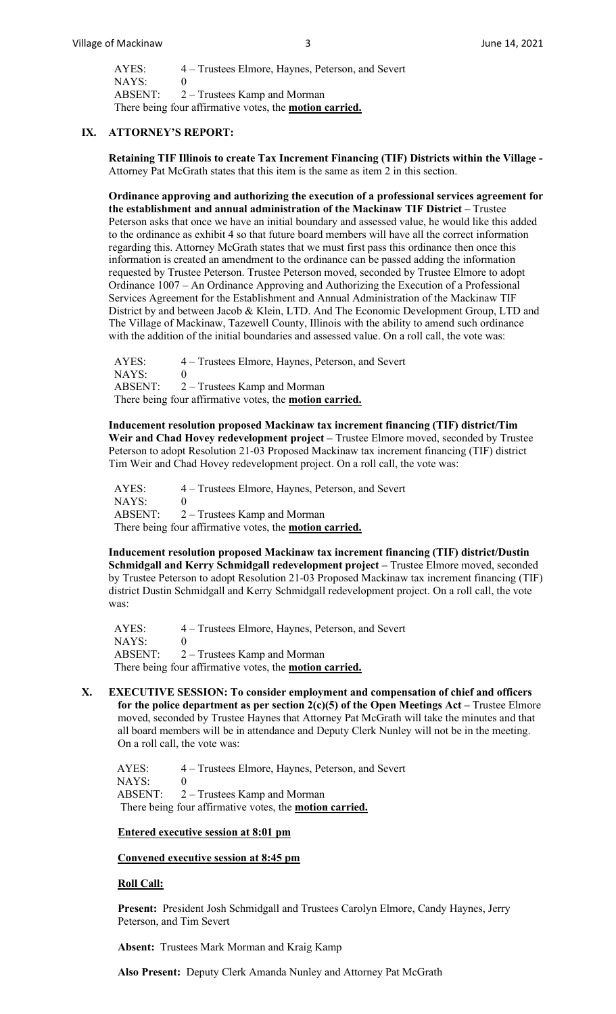AYES: 4 – Trustees Elmore, Haynes, Peterson, and Severt NAYS: 0 ABSENT: 2 – Trustees Kamp and Morman There being four affirmative votes, the **motion carried.**

### **IX. ATTORNEY'S REPORT:**

**Retaining TIF Illinois to create Tax Increment Financing (TIF) Districts within the Village -** Attorney Pat McGrath states that this item is the same as item 2 in this section.

**Ordinance approving and authorizing the execution of a professional services agreement for the establishment and annual administration of the Mackinaw TIF District –** Trustee Peterson asks that once we have an initial boundary and assessed value, he would like this added to the ordinance as exhibit 4 so that future board members will have all the correct information regarding this. Attorney McGrath states that we must first pass this ordinance then once this information is created an amendment to the ordinance can be passed adding the information requested by Trustee Peterson. Trustee Peterson moved, seconded by Trustee Elmore to adopt Ordinance 1007 – An Ordinance Approving and Authorizing the Execution of a Professional Services Agreement for the Establishment and Annual Administration of the Mackinaw TIF District by and between Jacob & Klein, LTD. And The Economic Development Group, LTD and The Village of Mackinaw, Tazewell County, Illinois with the ability to amend such ordinance with the addition of the initial boundaries and assessed value. On a roll call, the vote was:

 AYES: 4 – Trustees Elmore, Haynes, Peterson, and Severt NAYS: 0 ABSENT: 2 – Trustees Kamp and Morman There being four affirmative votes, the **motion carried.**

**Inducement resolution proposed Mackinaw tax increment financing (TIF) district/Tim Weir and Chad Hovey redevelopment project –** Trustee Elmore moved, seconded by Trustee Peterson to adopt Resolution 21-03 Proposed Mackinaw tax increment financing (TIF) district Tim Weir and Chad Hovey redevelopment project. On a roll call, the vote was:

 AYES: 4 – Trustees Elmore, Haynes, Peterson, and Severt  $NAYS: 0$  ABSENT: 2 – Trustees Kamp and Morman There being four affirmative votes, the **motion carried.**

**Inducement resolution proposed Mackinaw tax increment financing (TIF) district/Dustin Schmidgall and Kerry Schmidgall redevelopment project –** Trustee Elmore moved, seconded by Trustee Peterson to adopt Resolution 21-03 Proposed Mackinaw tax increment financing (TIF) district Dustin Schmidgall and Kerry Schmidgall redevelopment project. On a roll call, the vote was:

 AYES: 4 – Trustees Elmore, Haynes, Peterson, and Severt NAYS: 0 ABSENT: 2 – Trustees Kamp and Morman There being four affirmative votes, the **motion carried.**

**X. EXECUTIVE SESSION: To consider employment and compensation of chief and officers for the police department as per section 2(c)(5) of the Open Meetings Act –** Trustee Elmore moved, seconded by Trustee Haynes that Attorney Pat McGrath will take the minutes and that all board members will be in attendance and Deputy Clerk Nunley will not be in the meeting. On a roll call, the vote was:

 AYES: 4 – Trustees Elmore, Haynes, Peterson, and Severt  $NAYS: 0$ ABSENT: 2 – Trustees Kamp and Morman

There being four affirmative votes, the **motion carried.**

### **Entered executive session at 8:01 pm**

#### **Convened executive session at 8:45 pm**

### **Roll Call:**

**Present:** President Josh Schmidgall and Trustees Carolyn Elmore, Candy Haynes, Jerry Peterson, and Tim Severt

**Absent:** Trustees Mark Morman and Kraig Kamp

**Also Present:** Deputy Clerk Amanda Nunley and Attorney Pat McGrath